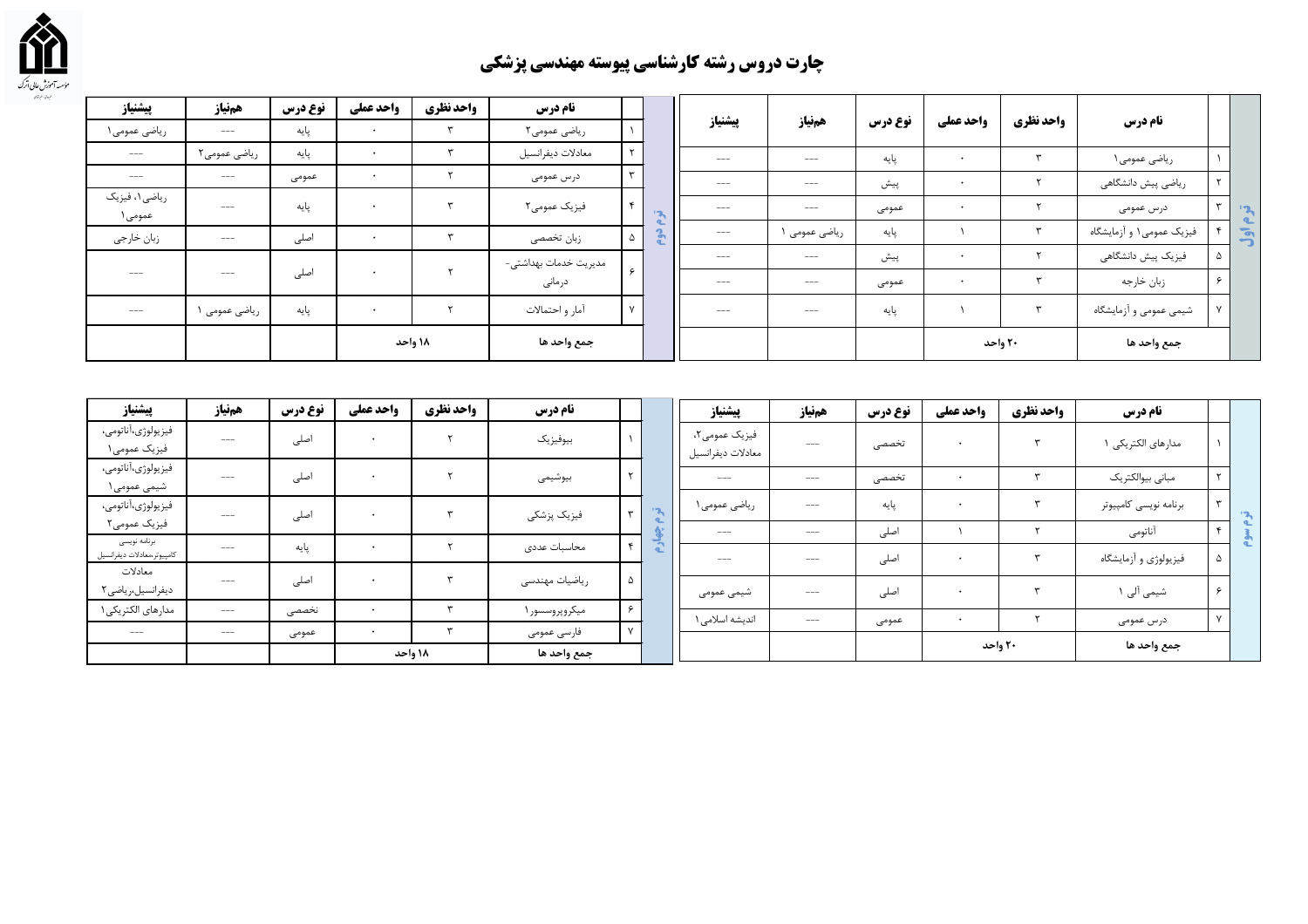

## چارت دروس رشته کارشناسی پیوسته مهندسی پزشکی

| پیشنیاز                   | همنياز         | نوع درس | واحد عملي            | واحد نظري | نام درس               |              |              |                   |             |         |           |              |                          |              |                |
|---------------------------|----------------|---------|----------------------|-----------|-----------------------|--------------|--------------|-------------------|-------------|---------|-----------|--------------|--------------------------|--------------|----------------|
| ریاضی عمومی ۱             | $\cdots$       | پایه    | $\bullet$            |           | ریاضی عمومی۲          |              |              | پيشنياز           | همنياز      | نوع درس | واحد عملي | واحد نظري    | نام درس                  |              |                |
| $---$                     | ریاضی عمومی۲   | پایه    | $\ddot{\phantom{1}}$ |           | معادلات ديفرانسيل     |              |              | $\qquad \qquad -$ | $---$       | پایه    | $\bullet$ | $\mathbf{r}$ | ریاضی عمومی ۱            |              |                |
| $---$                     | $-\!-\!$ $\!-$ | عمومى   | $\ddot{\phantom{1}}$ |           | درس عمومی             |              |              | $\qquad \qquad -$ | $---$       | پیش     | $\bullet$ |              | ریاضی پیش دانشگاهی       |              |                |
| ریاضی ۱، فیزیک<br>عمومی ۱ | $\cdots$       | پایه    | $\ddot{\phantom{1}}$ |           | فیزیک عمومی۲          | $\mathbf{c}$ | $\mathbf{r}$ | $\qquad \qquad -$ | $---$       | عمومى   | $\cdot$   |              | درس عمومی                |              | $\mathbf{z}$   |
| زبان خارجي                | $---$          | اصلی    | $\bullet$            |           | زبان تخصصي            | ۵            |              | $- - - -$         | رياضي عمومي | پایه    |           | $\mathbf{r}$ | فیزیک عمومی۱ و آزمایشگاه |              | $\overline{5}$ |
|                           |                |         |                      |           | مدیریت خدمات بهداشتی- |              |              | $- - -$           | $---$       | پیش     | $\bullet$ |              | فیزیک پیش دانشگاهی       |              |                |
| $---$                     | $---$          | اصلی    | $\bullet$            |           | درمانی                | $\epsilon$   |              | $---$             | $---$       | عمومى   |           | س            | زبان خارجه               | ۶            |                |
| $---$                     | ریاضی عمومی ۱  | پایه    | $\ddot{\phantom{1}}$ |           | آمار و احتمالات       |              |              | $- - -$           | $---$       | پایه    |           | $\mathbf{r}$ | شیمی عمومی و أزمایشگاه   | $\mathbf{v}$ |                |
|                           |                |         |                      | ۱۸ واحد   | جمع واحد ها           |              |              |                   |             |         |           | ۲۰ واحد      | جمع واحد ها              |              |                |

| پیشنیاز                            | همنياز        | نوع درس | واحد عملي | واحد نظري | نام درس        |              |                         | پیشنیاز                            | همفياز | نوع درس | واحد عملي | واحد نظري | نام درس               |            |                           |
|------------------------------------|---------------|---------|-----------|-----------|----------------|--------------|-------------------------|------------------------------------|--------|---------|-----------|-----------|-----------------------|------------|---------------------------|
| فيزيولوژي،آناتومي،<br>فیزیک عمومی۱ | $---$         | اصلی    | $\cdot$   |           | بيوفيزيك       |              |                         | فیزیک عمومی۲،<br>معادلات ديفرانسيل | $---$  | تخصصى   | $\cdot$   |           | مدارهای الکتریکی      |            |                           |
| فيزيولوژي،آناتومي،<br>شیمی عمومی ۱ | $\frac{1}{2}$ | اصلی    | $\cdot$   |           | بيوشيمى        | $\mathsf{r}$ |                         | $\cdots$                           | $---$  | · تخصصی |           |           | مبانى بيوالكتريك      |            |                           |
| فيزيولوژى،آناتومى،                 | $---$         | اصلی    | $\bullet$ |           | فیزیک پزشکی    | $\mathbf{r}$ | $\frac{1}{2}$           | ریاضی عمومی ۱                      | $---$  | پایه    | $\bullet$ |           | برنامه نويسى كامپيوتر |            | $\mathbf{P}_{\mathbf{A}}$ |
| فیزیک عمومی۲<br>برنامه نویسی       |               |         |           |           |                |              |                         | $-$                                | $---$  | اصلی    |           |           | أناتومى               | ×.         |                           |
| كامپيوتر،معادلات ديفرانسيل         | $---$         | پایه    |           |           | محاسبات عددى   | $\mathbf{r}$ | $\overline{\mathbf{a}}$ | $\frac{1}{2}$                      | $---$  | اصلی    |           |           | فیزیولوژی و أزمایشگاه |            |                           |
| معادلات                            | $---$         | اصلی    | $\cdot$   |           | ریاضیات مهندسی | - ۵          |                         |                                    |        |         |           |           |                       |            |                           |
| ديفرانسيل،رياضي٢                   |               |         |           |           |                |              |                         | شیمی عمومی                         | $---$  | اصلی    | $\cdot$   |           | شیمی آلی ۱            | $\epsilon$ |                           |
| مدارهای الکتریکی ۱                 | $---$         | نخصصى   |           |           | میکروپروسسور ۱ | $\epsilon$   |                         | اندیشه اسلامی ۱                    | $---$  |         | $\bullet$ |           |                       |            |                           |
| $\cdots$                           | $\cdots$      | عمومى   |           |           | فارسى عمومى    |              |                         |                                    |        | عمومی   |           |           | درس عمومی             |            |                           |
|                                    |               |         |           | ۱۸ واحد   | جمع واحد ها    |              |                         |                                    |        |         | ۲۰ واحد   |           | جمع واحد ها           |            |                           |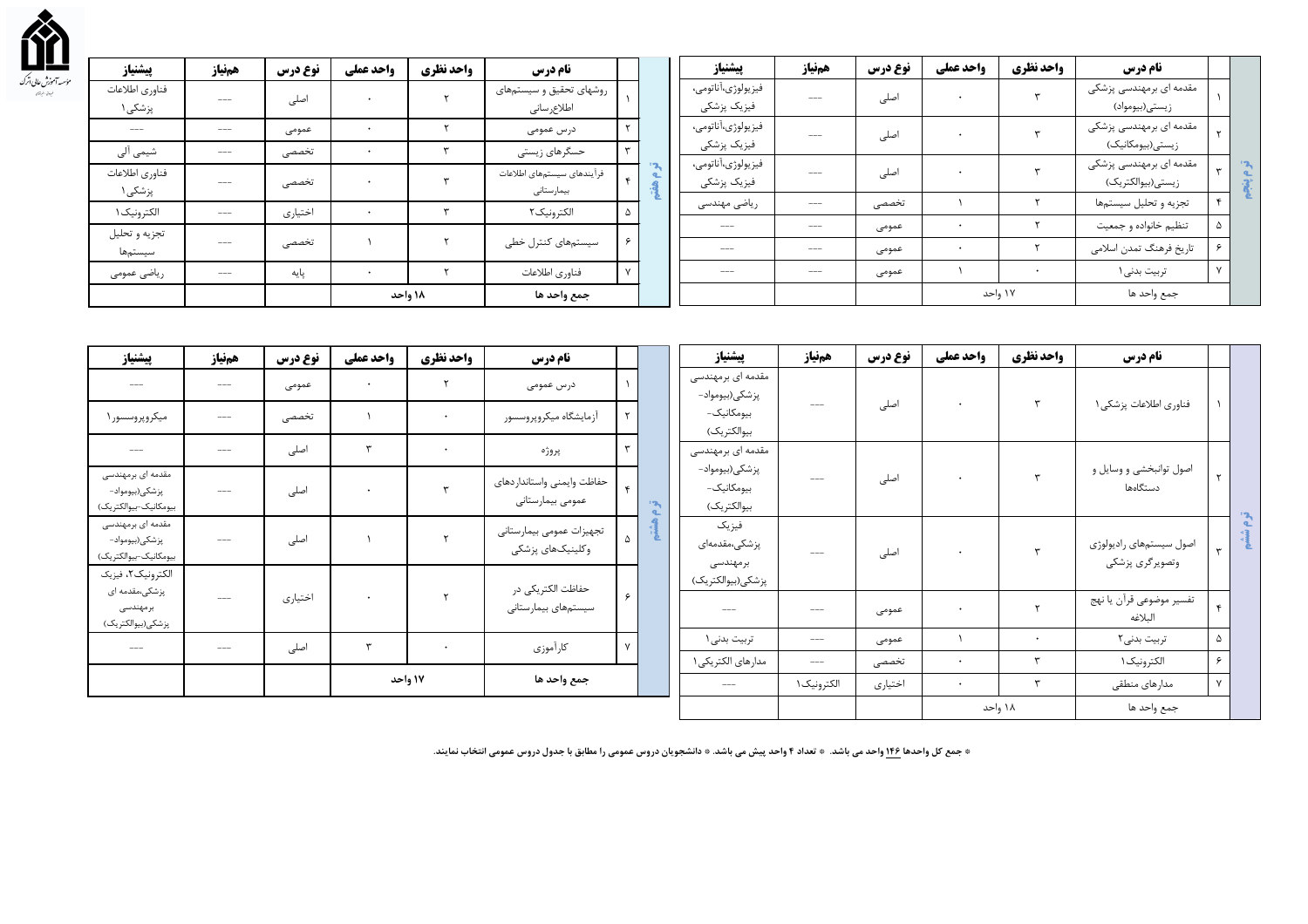

| پیشنیاز                   | همنياز        | نوع درس | واحد عملي | واحد نظري | <b>نام درس</b>                           |    |                                | پیشنیاز                           | همنياز   | نوع درس | واحد عملي | واحد نظري | <b>نام درس</b>                              |            |  |
|---------------------------|---------------|---------|-----------|-----------|------------------------------------------|----|--------------------------------|-----------------------------------|----------|---------|-----------|-----------|---------------------------------------------|------------|--|
| فناوري اطلاعات<br>پزشکی ۱ | $\frac{1}{2}$ | اصلی    |           |           | روشهای تحقیق و سیستمهای<br>اطلاع رسانى   |    |                                | فيزيولوژي،آناتومي،<br>فیزیک پزشکی | $\cdots$ | اصلی    |           |           | مقدمه ای برمهندسی پزشکی<br>زيستي(بيومواد)   |            |  |
| $---$                     | $\cdots$      | عمومى   | $\bullet$ |           | درس عمومی                                |    |                                | فيزيولوژي،آناتومي،                | ---      | اصلی    |           |           | مقدمه ای برمهندسی پزشکی                     |            |  |
| شیمی آلی                  | $\cdots$      | تخصصى   |           |           | حسگرهای زیستی                            | سو |                                | فيزيک پزشکي<br>فيزيولوژي،آناتومي، |          |         |           |           | زیستی(بیومکانیک)<br>مقدمه ای برمهندسی پزشکی |            |  |
| فناوري اطلاعات<br>پزشکی ۱ | $\cdots$      | تخصصى   |           |           | فرأيندهاى سيستمهاى اطلاعات<br>بيمارستانى |    | $\mathbf{P}$<br>$\alpha$<br>÷. | فيزيک پزشکى                       | $\cdots$ | اصلی    |           |           | زيستى(بيوالكتريك)                           |            |  |
| الكترونيك ١               | $\cdots$      | اختياري |           |           | الكترونيك ٢                              | 5  |                                | ریاضی مهندسی                      | $\cdots$ | تخصصى   |           |           | تجزيه و تحليل سيستمها                       |            |  |
| تجزيه و تحليل             |               |         |           |           |                                          |    |                                | $\frac{1}{2}$                     | $\cdots$ | عمومى   |           |           | تنظيم خانواده و جمعيت                       | $\Delta$   |  |
| سيستمها                   | $\cdots$      | تخصصى   |           |           | سیستمهای کنترل خطی                       |    |                                | $\frac{1}{2}$                     | $---$    | عمومى   |           |           | تاریخ فرهنگ تمدن اسلامی                     | $\epsilon$ |  |
| ریاضی عمومی               | $---$         | پایه    |           |           | فناوري اطلاعات                           |    |                                | $- - -$                           | $\cdots$ | عمومى   |           |           | تربیت بدنی۱                                 |            |  |
|                           |               |         |           | ۱۸ واحد   | جمع واحد ها                              |    |                                |                                   |          |         |           | ۱۷ واحد   | جمع واحد ها                                 |            |  |

| پيشنياز                                                      | همنياز            | نوع درس | واحد عملي | واحد نظري | نام درس                                        |              |              | پيشنياز                                     | همنياز                  | نوع درس          | واحد عملي      | واحد نظري | نام درس                                    |              |   |
|--------------------------------------------------------------|-------------------|---------|-----------|-----------|------------------------------------------------|--------------|--------------|---------------------------------------------|-------------------------|------------------|----------------|-----------|--------------------------------------------|--------------|---|
| $---$                                                        | $---$             | عمومى   | ٠         |           | درس عمومی                                      |              |              | مقدمه ای برمهندسی<br>پزشكى(بيومواد–         |                         |                  |                |           |                                            |              |   |
| میکروپروسسور ۱                                               | $---$             | تخصصى   |           |           | أزمايشگاه ميكروپروسسور                         |              |              | بیومکانیک-<br>بيوالكتريك)                   | $\cdots$                | اصلی             |                |           | فناوري اطلاعات پزشكى ١                     |              |   |
| $\cdots$                                                     | $---$             | اصلی    |           |           | پروژه                                          | $\mathbf{r}$ |              | مقدمه ای برمهندسی                           |                         |                  |                |           |                                            |              |   |
| مقدمه ای برمهندسی<br>پزشکی(بیومواد-<br>بيومكانيک-بيوالكتريک) | $---$             | اصلی    |           |           | حفاظت وايمنى واستانداردهاى<br>عمومى بيمارستاني | $\mathbf{r}$ | $\mathbf{r}$ | پزشكى(بيومواد–<br>بیومکانیک-<br>بيوالكتريك) | $\cdots$                | اصلی             |                |           | اصول توانبخشی و وسایل و<br>دستگاهها        |              |   |
| مقدمه ای برمهندسی<br>پزشکی(بیومواد–<br>بيومكانيک-بيوالكتريک) | $---$             | اصلی    |           |           | تجهيزات عمومي بيمارستاني<br>وكلينيكهاي پزشكى   |              | 目            | فيزيك<br>پزشکی،مقدمهای<br>برمهندسی          | $- - -$                 | اصلی             |                |           | اصول سيستمهاي راديولوژي<br>وتصويرگري پزشكي | $\mathbf{r}$ | 残 |
| الكترونيك ٢، فيزيك<br>پزشکی،مقدمه ای                         | $\qquad \qquad -$ | اختياري |           |           | حفاظت الكتريكي در                              | $\epsilon$   |              | پزشکی(بیوالکتریک)                           |                         |                  |                |           | تفسير موضوعي قرأن يا نهج                   |              |   |
| برمهندسی<br>پزشکی(بیوالکتریک)                                |                   |         |           |           | سيستمهاى بيمارستانى                            |              |              | $---$                                       | $---$                   | عمومى            |                |           | البلاغه                                    | $\mathbf{r}$ |   |
| $\cdots$                                                     | $\qquad \qquad -$ | اصلی    |           |           | كارأموزي                                       | $\mathsf{v}$ |              | تربیت بدنی ۱                                | $\cdots$                | عمومى            |                | ٣         | تربیت بدنی۲                                | ۵<br>۶       |   |
|                                                              |                   |         |           | ۱۷ واحد   | جمع واحد ها                                    |              |              | مدارهای الکتریکی ۱<br>$---$                 | $\cdots$<br>الكترونيک ۱ | تخصصى<br>اختياري | ٠<br>$\bullet$ |           | الكترونيك ١<br>مدارهای منطقی               | $\mathsf{v}$ |   |
|                                                              |                   |         |           |           |                                                |              |              |                                             |                         |                  |                | ۱۸ واحد   | جمع واحد ها                                |              |   |

\* جمع کل واحدها ۱۴۶ واحد می باشد. \* تعداد ۴ واحد پیش می باشد. \* دانشجویان دروس عمومی را مطابق با جدول دروس عمومی انتخاب نمایند.